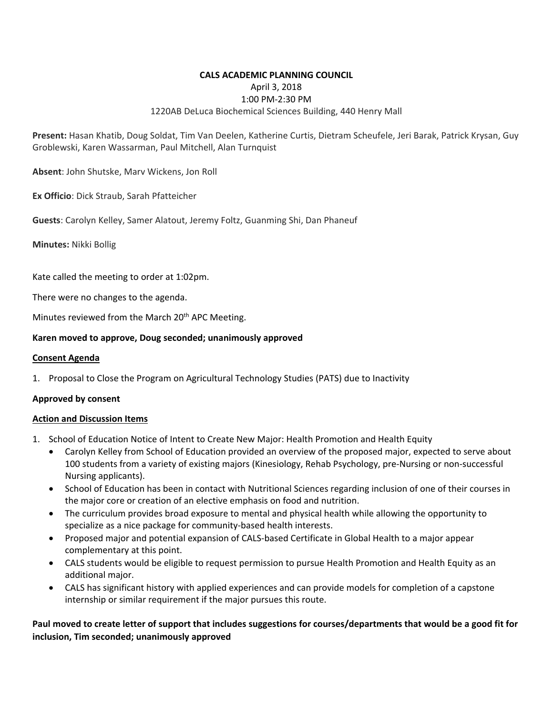### **CALS ACADEMIC PLANNING COUNCIL**  April 3, 2018 1:00 PM‐2:30 PM 1220AB DeLuca Biochemical Sciences Building, 440 Henry Mall

**Present:** Hasan Khatib, Doug Soldat, Tim Van Deelen, Katherine Curtis, Dietram Scheufele, Jeri Barak, Patrick Krysan, Guy Groblewski, Karen Wassarman, Paul Mitchell, Alan Turnquist

**Absent**: John Shutske, Marv Wickens, Jon Roll

**Ex Officio**: Dick Straub, Sarah Pfatteicher

**Guests**: Carolyn Kelley, Samer Alatout, Jeremy Foltz, Guanming Shi, Dan Phaneuf

**Minutes:** Nikki Bollig

Kate called the meeting to order at 1:02pm.

There were no changes to the agenda.

Minutes reviewed from the March 20<sup>th</sup> APC Meeting.

#### **Karen moved to approve, Doug seconded; unanimously approved**

#### **Consent Agenda**

1. Proposal to Close the Program on Agricultural Technology Studies (PATS) due to Inactivity

#### **Approved by consent**

#### **Action and Discussion Items**

- 1. School of Education Notice of Intent to Create New Major: Health Promotion and Health Equity
	- Carolyn Kelley from School of Education provided an overview of the proposed major, expected to serve about 100 students from a variety of existing majors (Kinesiology, Rehab Psychology, pre‐Nursing or non‐successful Nursing applicants).
	- School of Education has been in contact with Nutritional Sciences regarding inclusion of one of their courses in the major core or creation of an elective emphasis on food and nutrition.
	- The curriculum provides broad exposure to mental and physical health while allowing the opportunity to specialize as a nice package for community‐based health interests.
	- Proposed major and potential expansion of CALS-based Certificate in Global Health to a major appear complementary at this point.
	- CALS students would be eligible to request permission to pursue Health Promotion and Health Equity as an additional major.
	- CALS has significant history with applied experiences and can provide models for completion of a capstone internship or similar requirement if the major pursues this route.

**Paul moved to create letter of support that includes suggestions for courses/departments that would be a good fit for inclusion, Tim seconded; unanimously approved**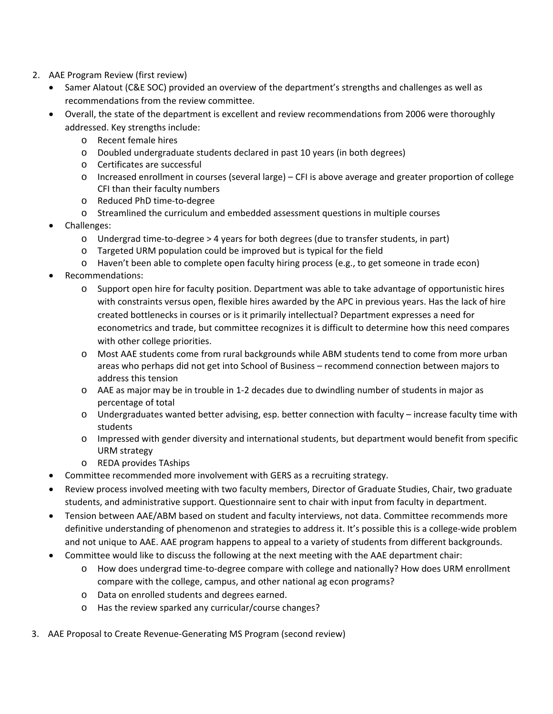- 2. AAE Program Review (first review)
	- Samer Alatout (C&E SOC) provided an overview of the department's strengths and challenges as well as recommendations from the review committee.
	- Overall, the state of the department is excellent and review recommendations from 2006 were thoroughly addressed. Key strengths include:
		- o Recent female hires
		- o Doubled undergraduate students declared in past 10 years (in both degrees)
		- o Certificates are successful
		- o Increased enrollment in courses (several large) CFI is above average and greater proportion of college CFI than their faculty numbers
		- o Reduced PhD time‐to‐degree
		- o Streamlined the curriculum and embedded assessment questions in multiple courses
	- Challenges:
		- o Undergrad time‐to‐degree > 4 years for both degrees (due to transfer students, in part)
		- o Targeted URM population could be improved but is typical for the field
		- o Haven't been able to complete open faculty hiring process (e.g., to get someone in trade econ)
	- Recommendations:
		- o Support open hire for faculty position. Department was able to take advantage of opportunistic hires with constraints versus open, flexible hires awarded by the APC in previous years. Has the lack of hire created bottlenecks in courses or is it primarily intellectual? Department expresses a need for econometrics and trade, but committee recognizes it is difficult to determine how this need compares with other college priorities.
		- o Most AAE students come from rural backgrounds while ABM students tend to come from more urban areas who perhaps did not get into School of Business – recommend connection between majors to address this tension
		- o AAE as major may be in trouble in 1‐2 decades due to dwindling number of students in major as percentage of total
		- o Undergraduates wanted better advising, esp. better connection with faculty increase faculty time with students
		- o Impressed with gender diversity and international students, but department would benefit from specific URM strategy
		- o REDA provides TAships
	- Committee recommended more involvement with GERS as a recruiting strategy.
	- Review process involved meeting with two faculty members, Director of Graduate Studies, Chair, two graduate students, and administrative support. Questionnaire sent to chair with input from faculty in department.
	- Tension between AAE/ABM based on student and faculty interviews, not data. Committee recommends more definitive understanding of phenomenon and strategies to address it. It's possible this is a college‐wide problem and not unique to AAE. AAE program happens to appeal to a variety of students from different backgrounds.
	- Committee would like to discuss the following at the next meeting with the AAE department chair:
		- o How does undergrad time‐to‐degree compare with college and nationally? How does URM enrollment compare with the college, campus, and other national ag econ programs?
		- o Data on enrolled students and degrees earned.
		- o Has the review sparked any curricular/course changes?
- 3. AAE Proposal to Create Revenue‐Generating MS Program (second review)